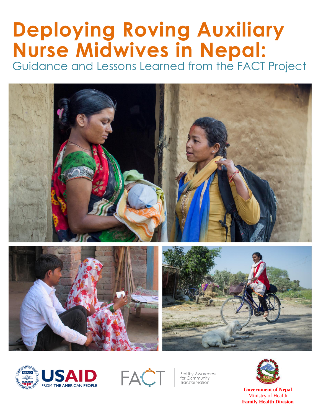# **Deploying Roving Auxiliary Nurse Midwives in Nepal:**  Guidance and Lessons Learned from the FACT Project









**Fertility Awareness** for Community Transformation



**Government of Nepal** Ministry of Health **Family Health Division**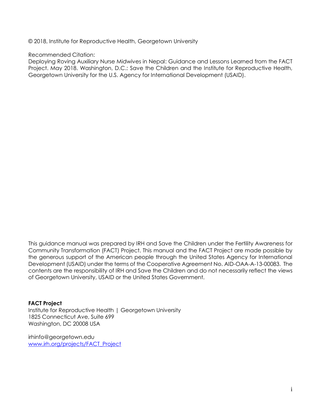© 2018, Institute for Reproductive Health, Georgetown University

Recommended Citation:

Deploying Roving Auxiliary Nurse Midwives in Nepal: Guidance and Lessons Learned from the FACT Project. May 2018. Washington, D.C.: Save the Children and the Institute for Reproductive Health, Georgetown University for the U.S. Agency for International Development (USAID).

This guidance manual was prepared by IRH and Save the Children under the Fertility Awareness for Community Transformation (FACT) Project. This manual and the FACT Project are made possible by the generous support of the American people through the United States Agency for International Development (USAID) under the terms of the Cooperative Agreement No. AID-OAA-A-13-00083. The contents are the responsibility of IRH and Save the Children and do not necessarily reflect the views of Georgetown University, USAID or the United States Government.

**FACT Project**

Institute for Reproductive Health | Georgetown University 1825 Connecticut Ave, Suite 699 Washington, DC 20008 USA

irhinfo@georgetown.edu [www.irh.org/projects/FACT\\_Project](http://www.irh.org/projects/FACT_Project)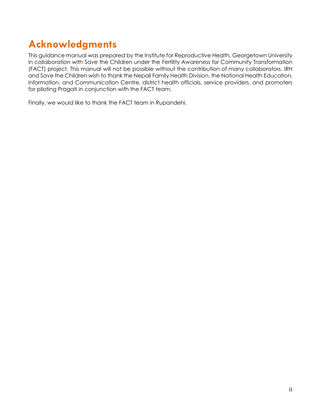# **Acknowledgments**

This guidance manual was prepared by the Institute for Reproductive Health, Georgetown University in collaboration with Save the Children under the Fertility Awareness for Community Transformation (FACT) project. This manual will not be possible without the contribution of many collaborators. IRH and Save the Children wish to thank the Nepali Family Health Division, the National Health Education, Information, and Communication Centre, district health officials, service providers, and promoters for piloting Pragati in conjunction with the FACT team.

Finally, we would like to thank the FACT team in Rupandehi.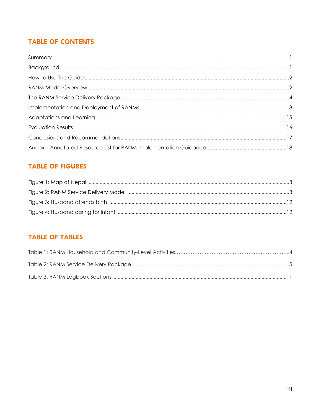# **TABLE OF CONTENTS**

# **TABLE OF FIGURES**

# **TABLE OF TABLES**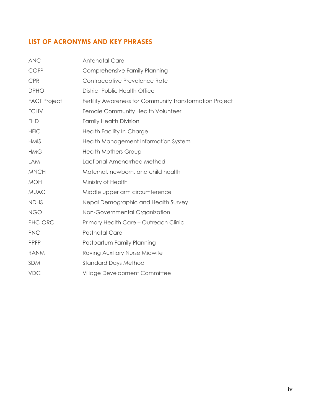# **LIST OF ACRONYMS AND KEY PHRASES**

| <b>ANC</b>          | <b>Antenatal Care</b>                                    |
|---------------------|----------------------------------------------------------|
| <b>COFP</b>         | Comprehensive Family Planning                            |
| <b>CPR</b>          | Contraceptive Prevalence Rate                            |
| <b>DPHO</b>         | <b>District Public Health Office</b>                     |
| <b>FACT Project</b> | Fertility Awareness for Community Transformation Project |
| <b>FCHV</b>         | Female Community Health Volunteer                        |
| <b>FHD</b>          | <b>Family Health Division</b>                            |
| <b>HFIC</b>         | Health Facility In-Charge                                |
| <b>HMIS</b>         | Health Management Information System                     |
| <b>HMG</b>          | <b>Health Mothers Group</b>                              |
| <b>LAM</b>          | Lactional Amenorrhea Method                              |
| <b>MNCH</b>         | Maternal, newborn, and child health                      |
| <b>MOH</b>          | Ministry of Health                                       |
| <b>MUAC</b>         | Middle upper arm circumference                           |
| <b>NDHS</b>         | Nepal Demographic and Health Survey                      |
| <b>NGO</b>          | Non-Governmental Organization                            |
| PHC-ORC             | Primary Health Care - Outreach Clinic                    |
| <b>PNC</b>          | <b>Postnatal Care</b>                                    |
| <b>PPFP</b>         | Postpartum Family Planning                               |
| <b>RANM</b>         | Roving Auxiliary Nurse Midwife                           |
| <b>SDM</b>          | <b>Standard Days Method</b>                              |
| <b>VDC</b>          | Village Development Committee                            |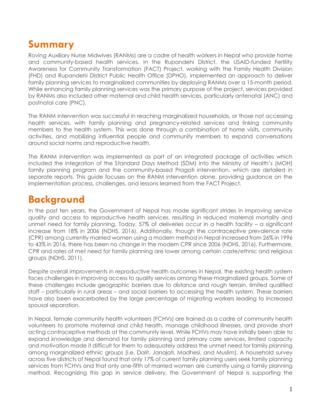# <span id="page-5-0"></span>**Summary**

Roving Auxiliary Nurse Midwives (RANMs) are a cadre of health workers in Nepal who provide home and community-based health services. In the Rupandehi District, the USAID-funded Fertility Awareness for Community Transformation (FACT) Project, working with the Family Health Division (FHD) and Rupandehi District Public Health Office (DPHO), implemented an approach to deliver family planning services to marginalized communities by deploying RANMs over a 15-month period. While enhancing family planning services was the primary purpose of the project, services provided by RANMs also included other maternal and child health services, particularly antenatal (ANC) and postnatal care (PNC).

The RANM intervention was successful in reaching marginalized households, or those not accessing health services, with family planning and pregnancy-related services and linking community members to the health system. This was done through a combination of home visits, community activities, and mobilizing influential people and community members to expand conversations around social norms and reproductive health.

The RANM intervention was implemented as part of an integrated package of activities which included the integration of the Standard Days Method (SDM) into the Ministry of Health's (MOH) family planning program and the community-based Pragati intervention, which are detailed in separate reports. This guide focuses on the RANM intervention alone, providing guidance on the implementation process, challenges, and lessons learned from the FACT Project.

# <span id="page-5-1"></span>**Background**

In the past ten years, the Government of Nepal has made significant strides in improving service quality and access to reproductive health services, resulting in reduced maternal mortality and unmet need for family planning. Today, 57% of deliveries occur in a health facility - a significant increase from 18% in 2006 (NDHS, 2016). Additionally, though the contraceptive prevalence rate (CPR) among currently married women using a modern method in Nepal increased from 26% in 1996 to 43% in 2016, there has been no change in the modern CPR since 2006 (NDHS, 2016). Furthermore, CPR and rates of met need for family planning are lower among certain caste/ethnic and religious groups (NDHS, 2011).

Despite overall improvements in reproductive health outcomes in Nepal, the existing health system faces challenges in improving access to quality services among these marginalized groups. Some of these challenges include geographic barriers due to distance and rough terrain, limited qualified staff – particularly in rural areas – and social barriers to accessing the health system. These barriers have also been exacerbated by the large percentage of migrating workers leading to increased spousal separation.

In Nepal, female community health volunteers (FCHVs) are trained as a cadre of community health volunteers to promote maternal and child health, manage childhood illnesses, and provide short acting contraceptive methods at the community level. While FCHVs may have initially been able to expand knowledge and demand for family planning and primary care services, limited capacity and motivation made it difficult for them to adequately address the unmet need for family planning among marginalized ethnic groups (i.e. Dalit, Janajati, Madhesi, and Muslim). A household survey across five districts of Nepal found that only 17% of current family planning users seek family planning services from FCHVs and that only one-fifth of married women are currently using a family planning method. Recognizing this gap in service delivery, the Government of Nepal is supporting the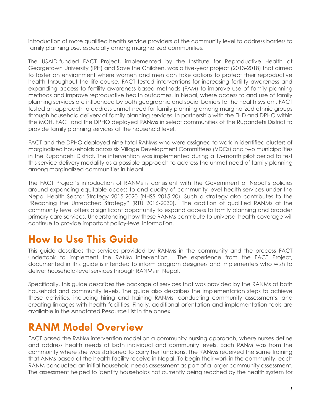introduction of more qualified health service providers at the community level to address barriers to family planning use, especially among marginalized communities.

The USAID-funded FACT Project, implemented by the Institute for Reproductive Health at Georgetown University (IRH) and Save the Children, was a five-year project (2013-2018) that aimed to foster an environment where women and men can take actions to protect their reproductive health throughout the life-course. FACT tested interventions for increasing fertility awareness and expanding access to fertility awareness-based methods (FAM) to improve use of family planning methods and improve reproductive health outcomes. In Nepal, where access to and use of family planning services are influenced by both geographic and social barriers to the health system, FACT tested an approach to address unmet need for family planning among marginalized ethnic groups through household delivery of family planning services. In partnership with the FHD and DPHO within the MOH, FACT and the DPHO deployed RANMs in select communities of the Rupandehi District to provide family planning services at the household level.

FACT and the DPHO deployed nine total RANMs who were assigned to work in identified clusters of marginalized households across six Village Development Committees (VDCs) and two municipalities in the Rupandehi District. The intervention was implemented during a 15-month pilot period to test this service delivery modality as a possible approach to address the unmet need of family planning among marginalized communities in Nepal.

The FACT Project's introduction of RANMs is consistent with the Government of Nepal's policies around expanding equitable access to and quality of community level health services under the Nepal Health Sector Strategy 2015-2020 (NHSS 2015-20). Such a strategy also contributes to the "Reaching the Unreached Strategy" (RTU 2016-2030). The addition of qualified RANMs at the community level offers a significant opportunity to expand access to family planning and broader primary care services. Understanding how these RANMs contribute to universal health coverage will continue to provide important policy-level information.

# <span id="page-6-0"></span>**How to Use This Guide**

This guide describes the services provided by RANMs in the community and the process FACT undertook to implement the RANM intervention. The experience from the FACT Project, documented in this guide is intended to inform program designers and implementers who wish to deliver household-level services through RANMs in Nepal.

Specifically, this guide describes the package of services that was provided by the RANMs at both household and community levels. The guide also describes the implementation steps to achieve these activities, including hiring and training RANMs, conducting community assessments, and creating linkages with health facilities. Finally, additional orientation and implementation tools are available in the Annotated Resource List in the annex.

# <span id="page-6-1"></span>**RANM Model Overview**

FACT based the RANM intervention model on a community-nursing approach, where nurses define and address health needs at both individual and community levels. Each RANM was from the community where she was stationed to carry her functions. The RANMs received the same training that ANMs based at the health facility receive in Nepal. To begin their work in the community, each RANM conducted an initial household needs assessment as part of a larger community assessment. The assessment helped to identify households not currently being reached by the health system for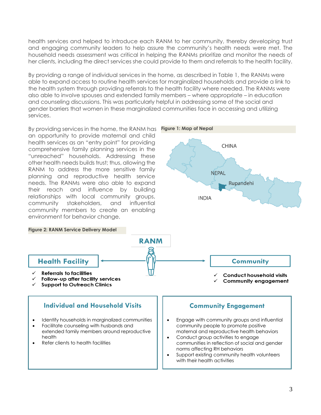health services and helped to introduce each RANM to her community, thereby developing trust and engaging community leaders to help assure the community's health needs were met. The household needs assessment was critical in helping the RANMs prioritize and monitor the needs of her clients, including the direct services she could provide to them and referrals to the health facility.

By providing a range of individual services in the home, as described in Table 1, the RANMs were able to expand access to routine health services for marginalized households and provide a link to the health system through providing referrals to the health facility where needed. The RANMs were also able to involve spouses and extended family members – where appropriate – in education and counseling discussions. This was particularly helpful in addressing some of the social and gender barriers that women in these marginalized communities face in accessing and utilizing services.

<span id="page-7-0"></span>By providing services in the home, the RANM has **Figure 1: Map of Nepal** an opportunity to provide maternal and child health services as an "entry point" for providing **CHINA** comprehensive family planning services in the "unreached" households. Addressing these other health needs builds trust; thus, allowing the RANM to address the more sensitive family **NEPAL** planning and reproductive health service needs. The RANMs were also able to expand Rupandehi their reach and influence by building relationships with local community groups, **INDIA** community stakeholders, and influential community members to create an enabling environment for behavior change. **Figure 2: RANM Service Delivery Model RANM Health Facility Community Referrals to facilities Conduct household visits**  $\checkmark$  Follow-up after facility services **Community engagement Support to Outreach Clinics Individual and Household Visits Community Engagement** Identify households in marginalized communities • Engage with community groups and influential • Facilitate counseling with husbands and community people to promote positive extended family members around reproductive maternal and reproductive health behaviors health Conduct group activities to engage • Refer clients to health facilities communities in reflection of social and gender norms affecting RH behaviors Support existing community health volunteers with their health activities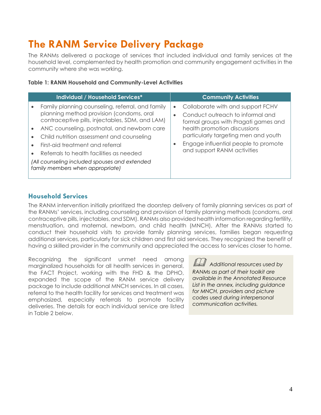# **The RANM Service Delivery Package**

The RANMs delivered a package of services that included individual and family services at the household level, complemented by health promotion and community engagement activities in the community where she was working.

#### **Table 1: RANM Household and Community-Level Activities**

| Individual / Household Services*                                                                                                                                                                                                                                                                                                                                                                                 | <b>Community Activities</b>                                                                                                                                                                                                                                                                         |
|------------------------------------------------------------------------------------------------------------------------------------------------------------------------------------------------------------------------------------------------------------------------------------------------------------------------------------------------------------------------------------------------------------------|-----------------------------------------------------------------------------------------------------------------------------------------------------------------------------------------------------------------------------------------------------------------------------------------------------|
| Family planning counseling, referral, and family<br>planning method provision (condoms, oral<br>contraceptive pills, injectables, SDM, and LAM)<br>ANC counseling, postnatal, and newborn care<br>Child nutrition assessment and counseling<br>First-aid treatment and referral<br>Referrals to health facilities as needed<br>(All counseling included spouses and extended<br>family members when appropriate) | Collaborate with and support FCHV<br>$\bullet$<br>Conduct outreach to informal and<br>$\bullet$<br>formal groups with Pragati games and<br>health promotion discussions<br>particularly targeting men and youth<br>Engage influential people to promote<br>$\bullet$<br>and support RANM activities |

# **Household Services**

The RANM intervention initially prioritized the doorstep delivery of family planning services as part of the RANMs' services, including counseling and provision of family planning methods (condoms, oral contraceptive pills, injectables, and SDM). RANMs also provided health information regarding fertility, menstruation, and maternal, newborn, and child health (MNCH). After the RANMs started to conduct their household visits to provide family planning services, families began requesting additional services, particularly for sick children and first aid services. They recognized the benefit of having a skilled provider in the community and appreciated the access to services closer to home.

Recognizing the significant unmet need among marginalized households for all health services in general, the FACT Project, working with the FHD & the DPHO, expanded the scope of the RANM service delivery package to include additional MNCH services. In all cases, referral to the health facility for services and treatment was emphasized, especially referrals to promote facility deliveries. The details for each individual service are listed in Table 2 below.

 *Additional resources used by RANMs as part of their toolkit are available in the Annotated Resource List in the annex, including guidance for MNCH, providers and picture codes used during interpersonal communication activities.*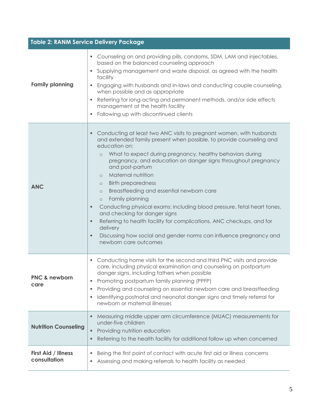|                                     | <b>Table 2: RANM Service Delivery Package</b>                                                                                                                                                                                                                                                                                                                                                                                                                                                                                                                                                                                                                                                                                                                                                               |
|-------------------------------------|-------------------------------------------------------------------------------------------------------------------------------------------------------------------------------------------------------------------------------------------------------------------------------------------------------------------------------------------------------------------------------------------------------------------------------------------------------------------------------------------------------------------------------------------------------------------------------------------------------------------------------------------------------------------------------------------------------------------------------------------------------------------------------------------------------------|
| <b>Family planning</b>              | • Counseling on and providing pills, condoms, SDM, LAM and injectables,<br>based on the balanced counseling approach<br>• Supplying management and waste disposal, as agreed with the health<br>facility<br>Engaging with husbands and in-laws and conducting couple counseling,<br>$\blacksquare$<br>when possible and as appropriate<br>Referring for long-acting and permanent methods, and/or side effects<br>management at the health facility<br>Following up with discontinued clients<br>٠                                                                                                                                                                                                                                                                                                          |
| <b>ANC</b>                          | Conducting at least two ANC visits to pregnant women, with husbands<br>٠.<br>and extended family present when possible, to provide counseling and<br>education on:<br>What to expect during pregnancy, healthy behaviors during<br>$\circ$<br>pregnancy, and education on danger signs throughout pregnancy<br>and post-partum<br>Maternal nutrition<br>$\circ$<br><b>Birth preparedness</b><br>$\circ$<br>Breastfeeding and essential newborn care<br>$\circ$<br>Family planning<br>$\circ$<br>Conducting physical exams: including blood pressure, fetal heart tones,<br>٠<br>and checking for danger signs<br>Referring to health facility for complications, ANC checkups, and for<br>٠<br>delivery<br>Discussing how social and gender norms can influence pregnancy and<br>٠<br>newborn care outcomes |
| <b>PNC &amp; newborn</b><br>care    | Conducting home visits for the second and third PNC visits and provide<br>٠<br>care, including physical examination and counseling on postpartum<br>danger signs, including fathers when possible<br>Promoting postpartum family planning (PPFP)<br>٠<br>Providing and counseling on essential newborn care and breastfeeding<br>٠<br>Identifying postnatal and neonatal danger signs and timely referral for<br>newborn or maternal illnesses                                                                                                                                                                                                                                                                                                                                                              |
| <b>Nutrition Counseling</b>         | Measuring middle upper arm circumference (MUAC) measurements for<br>under-five children<br>Providing nutrition education<br>٠<br>Referring to the health facility for additional follow up when concerned                                                                                                                                                                                                                                                                                                                                                                                                                                                                                                                                                                                                   |
| First Aid / Illness<br>consultation | Being the first point of contact with acute first aid or illness concerns<br>٠<br>Assessing and making referrals to health facility as needed<br>٠                                                                                                                                                                                                                                                                                                                                                                                                                                                                                                                                                                                                                                                          |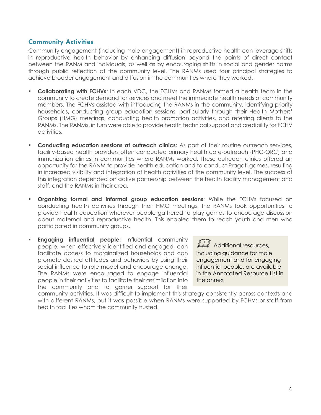### **Community Activities**

Community engagement (including male engagement) in reproductive health can leverage shifts in reproductive health behavior by enhancing diffusion beyond the points of direct contact between the RANM and individuals, as well as by encouraging shifts in social and gender norms through public reflection at the community level. The RANMs used four principal strategies to achieve broader engagement and diffusion in the communities where they worked.

- **Collaborating with FCHVs**: In each VDC, the FCHVs and RANMs formed a health team in the community to create demand for services and meet the immediate health needs of community members. The FCHVs assisted with introducing the RANMs in the community, identifying priority households, conducting group education sessions, particularly through their Health Mothers' Groups (HMG) meetings, conducting health promotion activities, and referring clients to the RANMs. The RANMs, in turn were able to provide health technical support and credibility for FCHV activities.
- **Conducting education sessions at outreach clinics:** As part of their routine outreach services, facility-based health providers often conducted primary health care-outreach (PHC-ORC) and immunization clinics in communities where RANMs worked. These outreach clinics offered an opportunity for the RANM to provide health education and to conduct Pragati games, resulting in increased visibility and integration of health activities at the community level. The success of this integration depended on active partnership between the health facility management and staff, and the RANMs in their area.
- **Organizing formal and informal group education sessions**: While the FCHVs focused on conducting health activities through their HMG meetings, the RANMs took opportunities to provide health education wherever people gathered to play games to encourage discussion about maternal and reproductive health. This enabled them to reach youth and men who participated in community groups.
- **Engaging influential people:** Influential community people, when effectively identified and engaged, can facilitate access to marginalized households and can promote desired attitudes and behaviors by using their social influence to role model and encourage change. The RANMs were encouraged to engage influential people in their activities to facilitate their assimilation into the community and to garner support for their

LL Additional resources, including guidance for male engagement and for engaging influential people, are available in the Annotated Resource List in the annex*.*

community activities. It was difficult to implement this strategy consistently across contexts and with different RANMs, but it was possible when RANMs were supported by FCHVs or staff from health facilities whom the community trusted.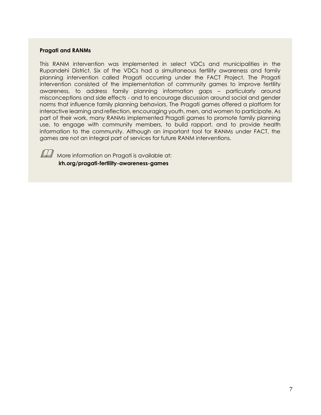#### **Pragati and RANMs**

This RANM intervention was implemented in select VDCs and municipalities in the Rupandehi District. Six of the VDCs had a simultaneous fertility awareness and family planning intervention called Pragati occurring under the FACT Project. The Pragati intervention consisted of the implementation of community games to improve fertility awareness, to address family planning information gaps – particularly around misconceptions and side effects - and to encourage discussion around social and gender norms that influence family planning behaviors. The Pragati games offered a platform for interactive learning and reflection, encouraging youth, men, and women to participate. As part of their work, many RANMs implemented Pragati games to promote family planning use, to engage with community members, to build rapport, and to provide health information to the community. Although an important tool for RANMs under FACT, the games are not an integral part of services for future RANM interventions.



 $\mathbb{H}$  More information on Pragati is available at: **irh.org/pragati-fertility-awareness-games**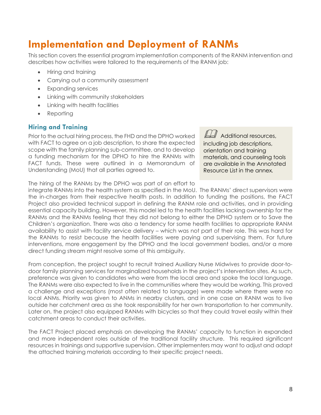# <span id="page-12-0"></span>**Implementation and Deployment of RANMs**

This section covers the essential program implementation components of the RANM intervention and describes how activities were tailored to the requirements of the RANM job:

- Hiring and training
- Carrying out a community assessment
- Expanding services
- Linking with community stakeholders
- Linking with health facilities
- Reporting

### **Hiring and Training**

Prior to the actual hiring process, the FHD and the DPHO worked with FACT to agree on a job description, to share the expected scope with the family planning sub-committee, and to develop a funding mechanism for the DPHO to hire the RANMs with FACT funds. These were outlined in a Memorandum of Understanding (MoU) that all parties agreed to.

 $\square$  Additional resources, including job descriptions, orientation and training materials, and counseling tools are available in the Annotated Resource List in the annex*.*

The hiring of the RANMs by the DPHO was part of an effort to

integrate RANMs into the health system as specified in the MoU. The RANMs' direct supervisors were the in-charges from their respective health posts. In addition to funding the positions, the FACT Project also provided technical support in defining the RANM role and activities, and in providing essential capacity building. However, this model led to the health facilities lacking ownership for the RANMs and the RANMs feeling that they did not belong to either the DPHO system or to Save the Children's organization. There was also a tendency for some health facilities to appropriate RANM availability to assist with facility service delivery – which was not part of their role. This was hard for the RANMs to resist because the health facilities were paying and supervising them. For future interventions, more engagement by the DPHO and the local government bodies, and/or a more direct funding stream might resolve some of this ambiguity.

From conception, the project sought to recruit trained Auxiliary Nurse Midwives to provide door-todoor family planning services for marginalized households in the project's intervention sites. As such, preference was given to candidates who were from the local area and spoke the local language. The RANMs were also expected to live in the communities where they would be working. This proved a challenge and exceptions (most often related to language) were made where there were no local ANMs. Priority was given to ANMs in nearby clusters, and in one case an RANM was to live outside her catchment area as she took responsibility for her own transportation to her community. Later on, the project also equipped RANMs with bicycles so that they could travel easily within their catchment areas to conduct their activities.

The FACT Project placed emphasis on developing the RANMs' capacity to function in expanded and more independent roles outside of the traditional facility structure. This required significant resources in trainings and supportive supervision. Other implementers may want to adjust and adapt the attached training materials according to their specific project needs.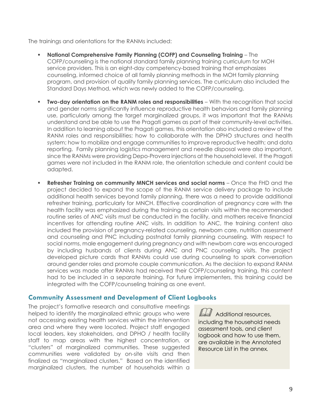The trainings and orientations for the RANMs included:

- **National Comprehensive Family Planning (COFP) and Counseling Training** The COFP/counseling is the national standard family planning training curriculum for MOH service providers. This is an eight-day competency-based training that emphasizes counseling, informed choice of all family planning methods in the MOH family planning program, and provision of quality family planning services. The curriculum also included the Standard Days Method, which was newly added to the COFP/counseling.
- **Two-day orientation on the RANM roles and responsibilities**  With the recognition that social and gender norms significantly influence reproductive health behaviors and family planning use, particularly among the target marginalized groups, it was important that the RANMs understand and be able to use the Pragati games as part of their community-level activities. In addition to learning about the Pragati games, this orientation also included a review of the RANM roles and responsibilities; how to collaborate with the DPHO structures and health system; how to mobilize and engage communities to improve reproductive health; and data reporting. Family planning logistics management and needle disposal were also important, since the RANMs were providing Depo-Provera injections at the household level. If the Pragati games were not included in the RANM role, the orientation schedule and content could be adapted.
- **Refresher Training on community MNCH services and social norms**  Once the FHD and the project decided to expand the scope of the RANM service delivery package to include additional health services beyond family planning, there was a need to provide additional refresher training, particularly for MNCH. Effective coordination of pregnancy care with the health facility was emphasized during the training as certain visits within the recommended routine series of ANC visits must be conducted in the facility, and mothers receive financial incentives for attending routine ANC visits. In addition to ANC, the training content also included the provision of pregnancy-related counseling, newborn care, nutrition assessment and counseling and PNC including postnatal family planning counseling. With respect to social norms, male engagement during pregnancy and with newborn care was encouraged by including husbands of clients during ANC and PNC counseling visits. The project developed picture cards that RANMs could use during counseling to spark conversation around gender roles and promote couple communication. As the decision to expand RANM services was made after RANMs had received their COFP/counseling training, this content had to be included in a separate training. For future implementers, this training could be integrated with the COFP/counseling training as one event.

### **Community Assessment and Development of Client Logbooks**

The project's formative research and consultative meetings helped to identify the marginalized ethnic groups who were not accessing existing health services within the intervention area and where they were located. Project staff engaged local leaders, key stakeholders, and DPHO / health facility staff to map areas with the highest concentration, or "clusters" of marginalized communities. These suggested communities were validated by on-site visits and then finalized as "marginalized clusters." Based on the identified marginalized clusters, the number of households within a

Additional resources, including the household needs assessment tools, and client logbook and how to use them, are available in the Annotated Resource List in the annex*.*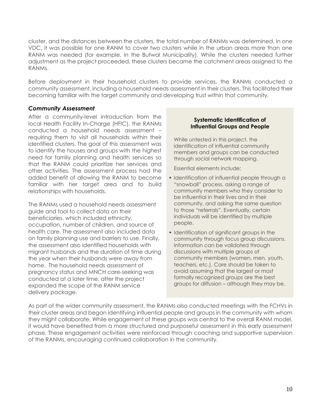cluster, and the distances between the clusters, the total number of RANMs was determined. In one VDC, it was possible for one RANM to cover two clusters while in the urban areas more than one RANM was needed (for example, in the Butwal Municipality). While the clusters needed further adjustment as the project proceeded, these clusters became the catchment areas assigned to the RANMs.

Before deployment in their household clusters to provide services, the RANMs conducted a community assessment, including a household needs assessment in their clusters. This facilitated their becoming familiar with the target community and developing trust within that community.

#### *Community Assessment*

After a community-level introduction from the local Health Facility In-Charge (HFIC), the RANMs conducted a household needs assessment – requiring them to visit all households within their identified clusters. The goal of this assessment was to identify the houses and groups with the highest need for family planning and health services so that the RANM could prioritize her services and other activities. The assessment process had the added benefit of allowing the RANM to become familiar with her target area and to build relationships with households.

The RANMs used a household needs assessment guide and tool to collect data on their beneficiaries, which included ethnicity, occupation, number of children, and source of health care. The assessment also included data on family planning use and barriers to use. Finally, the assessment also identified households with migrant husbands and the duration of time during the year when their husbands were away from home. The household needs assessment of pregnancy status and MNCH care-seeking was conducted at a later time, after the project expanded the scope of the RANM service delivery package.

#### **Systematic Identification of Influential Groups and People**

While untested in this project, the identification of influential community members and groups can be conducted through social network mapping.

Essential elements include:

- **.** Identification of influential people through a "snowball" process, asking a range of community members who they consider to be influential in their lives and in their community, and asking the same question to those "referrals". Eventually, certain individuals will be identified by multiple people.
- **Identification of significant groups in the** community through focus group discussions. Information can be validated through discussions with multiple groups of community members (women, men, youth, teachers, etc.). Care should be taken to avoid assuming that the largest or most formally recognized groups are the best groups for diffusion – although they may be.

As part of the wider community assessment, the RANMs also conducted meetings with the FCHVs in their cluster areas and began identifying influential people and groups in the community with whom they might collaborate. While engagement of these groups was central to the overall RANM model, it would have benefited from a more structured and purposeful assessment in this early assessment phase. These engagement activities were reinforced through coaching and supportive supervision of the RANMs, encouraging continued collaboration in the community.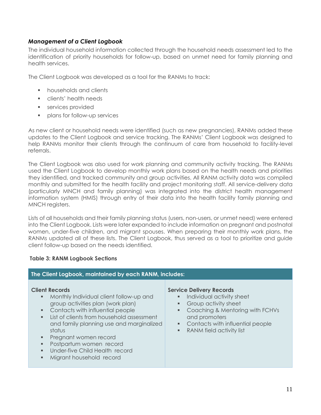#### *Management of a Client Logbook*

The individual household information collected through the household needs assessment led to the identification of priority households for follow-up, based on unmet need for family planning and health services.

The Client Logbook was developed as a tool for the RANMs to track:

- households and clients
- **•** clients' health needs
- **EXECUTE:** services provided
- **•** plans for follow-up services

As new client or household needs were identified (such as new pregnancies), RANMs added these updates to the Client Logbook and service tracking. The RANMs' Client Logbook was designed to help RANMs monitor their clients through the continuum of care from household to facility-level referrals.

The Client Logbook was also used for work planning and community activity tracking. The RANMs used the Client Logbook to develop monthly work plans based on the health needs and priorities they identified, and tracked community and group activities. All RANM activity data was compiled monthly and submitted for the health facility and project monitoring staff. All service-delivery data (particularly MNCH and family planning) was integrated into the district health management information system (HMIS) through entry of their data into the health facility family planning and MNCH registers.

Lists of all households and their family planning status (users, non-users, or unmet need) were entered into the Client Logbook. Lists were later expanded to include information on pregnant and postnatal women, under-five children, and migrant spouses. When preparing their monthly work plans, the RANMs updated all of these lists. The Client Logbook, thus served as a tool to prioritize and guide client follow-up based on the needs identified.

#### **Table 3: RANM Logbook Sections**

#### **The Client Logbook, maintained by each RANM, includes: Client Records** ■ Monthly Individual client follow-up and group activities plan (work plan) ■ Contacts with influential people **EXECT:** List of clients from household assessment and family planning use and marginalized status **•** Pregnant women record ■ Postpartum women record **■** Under-five Child Health record ▪ Migrant household record **Service Delivery Records ·** Individual activity sheet **•** Group activity sheet ■ Coaching & Mentoring with FCHVs and promoters ■ Contacts with influential people ■ RANM field activity list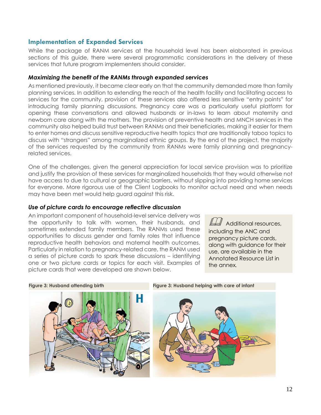### **Implementation of Expanded Services**

While the package of RANM services at the household level has been elaborated in previous sections of this guide, there were several programmatic considerations in the delivery of these services that future program implementers should consider.

#### *Maximizing the benefit of the RANMs through expanded services*

As mentioned previously, it became clear early on that the community demanded more than family planning services. In addition to extending the reach of the health facility and facilitating access to services for the community, provision of these services also offered less sensitive "entry points" for introducing family planning discussions. Pregnancy care was a particularly useful platform for opening these conversations and allowed husbands or in-laws to learn about maternity and newborn care along with the mothers. The provision of preventive health and MNCH services in the community also helped build trust between RANMs and their beneficiaries, making it easier for them to enter homes and discuss sensitive reproductive health topics that are traditionally taboo topics to discuss with "strangers" among marginalized ethnic groups. By the end of the project, the majority of the services requested by the community from RANMs were family planning and pregnancyrelated services.

One of the challenges, given the general appreciation for local service provision was to prioritize and justify the provision of these services for marginalized households that they would otherwise not have access to due to cultural or geographic barriers, without slipping into providing home services for everyone. More rigorous use of the Client Logbooks to monitor actual need and when needs may have been met would help guard against this risk.

#### *Use of picture cards to encourage reflective discussion*

An important component of household-level service delivery was the opportunity to talk with women, their husbands, and sometimes extended family members. The RANMs used these opportunities to discuss gender and family roles that influence reproductive health behaviors and maternal health outcomes. Particularly in relation to pregnancy-related care, the RANM used a series of picture cards to spark these discussions – identifying one or two picture cards or topics for each visit. Examples of picture cards that were developed are shown below.

 $\mathbb{Z}$  Additional resources, including the ANC and pregnancy picture cards, along with guidance for their use, are available in the Annotated Resource List in the annex*.*



**Figure 3: Husband attending birth Figure 3: Husband helping with care of infant**

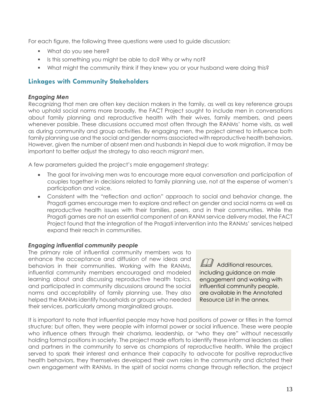For each figure, the following three questions were used to guide discussion:

- What do you see here?
- Is this something you might be able to do? Why or why not?
- What might the community think if they knew you or your husband were doing this?

### **Linkages with Community Stakeholders**

#### *Engaging Men*

Recognizing that men are often key decision makers in the family, as well as key reference groups who uphold social norms more broadly, the FACT Project sought to include men in conversations about family planning and reproductive health with their wives, family members, and peers whenever possible. These discussions occurred most often through the RANMs' home visits, as well as during community and group activities. By engaging men, the project aimed to influence both family planning use and the social and gender norms associated with reproductive health behaviors. However, given the number of absent men and husbands in Nepal due to work migration, it may be important to better adjust the strategy to also reach migrant men.

A few parameters guided the project's male engagement strategy:

- The goal for involving men was to encourage more equal conversation and participation of couples together in decisions related to family planning use, not at the expense of women's participation and voice.
- Consistent with the "reflection and action" approach to social and behavior change, the Pragati games encourage men to explore and reflect on gender and social norms as well as reproductive health issues with their families, peers, and in their communities. While the Pragati games are not an essential component of an RANM service delivery model, the FACT Project found that the integration of the Pragati intervention into the RANMs' services helped expand their reach in communities.

#### *Engaging influential community people*

The primary role of influential community members was to enhance the acceptance and diffusion of new ideas and behaviors in their communities. Working with the RANMs, influential community members encouraged and modeled learning about and discussing reproductive health topics, and participated in community discussions around the social norms and acceptability of family planning use. They also helped the RANMs identify households or groups who needed their services, particularly among marginalized groups.

Additional resources, including guidance on male engagement and working with influential community people, are available in the Annotated Resource List in the annex*.*

It is important to note that influential people may have had positions of power or titles in the formal structure; but often, they were people with informal power or social influence. These were people who influence others through their charisma, leadership, or "who they are" without necessarily holding formal positions in society. The project made efforts to identify these informal leaders as allies and partners in the community to serve as champions of reproductive health. While the project served to spark their interest and enhance their capacity to advocate for positive reproductive health behaviors, they themselves developed their own roles in the community and dictated their own engagement with RANMs. In the spirit of social norms change through reflection, the project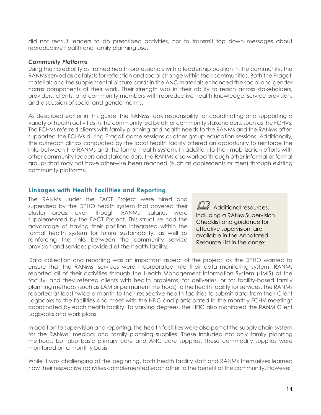did not recruit leaders to do prescribed activities, nor to transmit top down messages about reproductive health and family planning use.

#### *Community Platforms*

Using their credibility as trained health professionals with a leadership position in the community, the RANMs served as catalysts for reflection and social change within their communities. Both the Pragati materials and the supplemental picture cards in the ANC materials enhanced the social and gender norms components of their work. Their strength was in their ability to reach across stakeholders, providers, clients, and community members with reproductive health knowledge, service provision, and discussion of social and gender norms.

As described earlier in this guide, the RANMs took responsibility for coordinating and supporting a variety of health activities in the community led by other community stakeholders, such as the FCHVs. The FCHVs referred clients with family planning and health needs to the RANMs and the RANMs often supported the FCHVs during Pragati game sessions or other group education sessions. Additionally, the outreach clinics conducted by the local health facility offered an opportunity to reinforce the links between the RANMs and the formal health system. In addition to their mobilization efforts with other community leaders and stakeholders, the RANMs also worked through other informal or formal groups that may not have otherwise been reached (such as adolescents or men) through existing community platforms.

#### **Linkages with Health Facilities and Reporting**

The RANMs under the FACT Project were hired and supervised by the DPHO health system that covered their cluster areas, even though RANMs' salaries were supplemented by the FACT Project. This structure had the advantage of having their position integrated within the formal health system for future sustainability, as well as reinforcing the links between the community service provision and services provided at the health facility.

 $\square$  Additional resources, including a RANM Supervision Checklist and guidance for effective supervision, are available in the Annotated Resource List in the annex*.*

Data collection and reporting was an important aspect of the project, as the DPHO wanted to ensure that the RANMs' services were incorporated into their data monitoring system. RANMs reported all of their activities through the Health Management Information System (HMIS) at the facility, and they referred clients with health problems, for deliveries, or for facility-based family planning methods (such as LAM or permanent methods) to the health facility for services. The RANMs reported at least twice a month to their respective health facilities to submit data from their Client Logbooks to the facilities and meet with the HFIC and participated in the monthly FCHV meetings coordinated by each health facility. To varying degrees, the HFIC also monitored the RANM Client Logbooks and work plans.

In addition to supervision and reporting, the health facilities were also part of the supply chain system for the RANMs' medical and family planning supplies. These included not only family planning methods, but also basic primary care and ANC care supplies. These commodity supplies were monitored on a monthly basis.

While it was challenging at the beginning, both health facility staff and RANMs themselves learned how their respective activities complemented each other to the benefit of the community. However,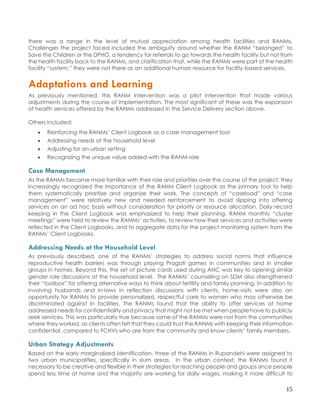there was a range in the level of mutual appreciation among health facilities and RANMs. Challenges the project faced included the ambiguity around whether the RANM "belonged" to Save the Children or the DPHO, a tendency for referrals to go towards the health facility but not from the health facility back to the RANMs, and clarification that, while the RANMs were part of the health facility "system," they were not there as an additional human resource for facility-based services.

# <span id="page-19-0"></span>**Adaptations and Learning**

As previously mentioned, this RANM intervention was a pilot intervention that made various adjustments during the course of implementation. The most significant of these was the expansion of health services offered by the RANMs addressed in the Service Delivery section above.

Others included:

- Reinforcing the RANMs' Client Logbook as a case management tool
- Addressing needs at the household level
- Adjusting for an urban setting
- Recognizing the unique value added with the RANM role

### **Case Management**

As the RANMs became more familiar with their role and priorities over the course of the project, they increasingly recognized the importance of the RANM Client Logbook as the primary tool to help them systematically prioritize and organize their work. The concepts of "caseload" and "case management" were relatively new and needed reinforcement to avoid slipping into offering services on an ad hoc basis without consideration for priority or resource allocation. Daily record keeping in the Client Logbook was emphasized to help their planning. RANM monthly "cluster meetings" were held to review the RANMs' activities, to review how their services and activities were reflected in the Client Logbooks, and to aggregate data for the project monitoring system from the RANMs' Client Logbooks.

### **Addressing Needs at the Household Level**

As previously described, one of the RANMs' strategies to address social norms that influence reproductive health barriers was through playing Pragati games in communities and in smaller groups in homes. Beyond this, the set of picture cards used during ANC was key to opening similar gender role discussions at the household level. The RANMs' counseling on SDM also strengthened their "toolbox" for offering alternative ways to think about fertility and family planning. In addition to involving husbands and in-laws in reflection discussions with clients, home-visits were also an opportunity for RANMs to provide personalized, respectful care to women who may otherwise be discriminated against in facilities. The RANMs found that the ability to offer services at home addressed needs for confidentiality and privacy that might not be met when people have to publicly seek services. This was particularly true because some of the RANMs were not from the communities where they worked, so clients often felt that they could trust the RANMs with keeping their information confidential, compared to FCHVs who are from the community and know clients' family members.

### **Urban Strategy Adjustments**

Based on the early marginalized identification, three of the RANMs in Rupandehi were assigned to two urban municipalities, specifically in slum areas. In the urban context, the RANMs found it necessary to be creative and flexible in their strategies for reaching people and groups since people spend less time at home and the majority are working for daily wages, making it more difficult to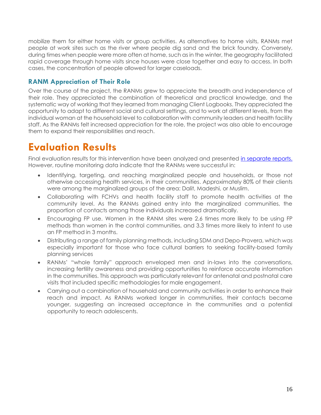mobilize them for either home visits or group activities. As alternatives to home visits, RANMs met people at work sites such as the river where people dig sand and the brick foundry. Conversely, during times when people were more often at home, such as in the winter, the geography facilitated rapid coverage through home visits since houses were close together and easy to access. In both cases, the concentration of people allowed for larger caseloads.

# **RANM Appreciation of Their Role**

Over the course of the project, the RANMs grew to appreciate the breadth and independence of their role. They appreciated the combination of theoretical and practical knowledge, and the systematic way of working that they learned from managing Client Logbooks. They appreciated the opportunity to adapt to different social and cultural settings, and to work at different levels, from the individual woman at the household level to collaboration with community leaders and health facility staff. As the RANMs felt increased appreciation for the role, the project was also able to encourage them to expand their responsibilities and reach.

# <span id="page-20-0"></span>**Evaluation Results**

Final evaluation results for this intervention have been analyzed and presented [in separate reports.](file:///C:/Users/sammi/Downloads/irh.org/roving-auxiliary-nurse-midwives) However, routine monitoring data indicate that the RANMs were successful in:

- Identifying, targeting, and reaching marginalized people and households, or those not otherwise accessing health services, in their communities. Approximately 80% of their clients were among the marginalized groups of the area: Dalit, Madeshi, or Muslim.
- Collaborating with FCHVs and health facility staff to promote health activities at the community level. As the RANMs gained entry into the marginalized communities, the proportion of contacts among those individuals increased dramatically.
- Encouraging FP use. Women in the RANM sites were 2.6 times more likely to be using FP methods than women in the control communities, and 3.3 times more likely to intent to use an FP method in 3 months.
- Distributing a range of family planning methods, including SDM and Depo-Provera, which was especially important for those who face cultural barriers to seeking facility-based family planning services
- RANMs' "whole family" approach enveloped men and in-laws into the conversations, increasing fertility awareness and providing opportunities to reinforce accurate information in the communities. This approach was particularly relevant for antenatal and postnatal care visits that included specific methodologies for male engagement.
- Carrying out a combination of household and community activities in order to enhance their reach and impact. As RANMs worked longer in communities, their contacts became younger, suggesting an increased acceptance in the communities and a potential opportunity to reach adolescents.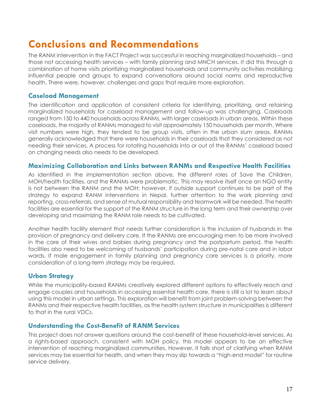# <span id="page-21-0"></span>**Conclusions and Recommendations**

The RANM intervention in the FACT Project was successful in reaching marginalized households – and those not accessing health services – with family planning and MNCH services. It did this through a combination of home visits prioritizing marginalized households and community activities mobilizing influential people and groups to expand conversations around social norms and reproductive health. There were, however, challenges and gaps that require more exploration.

### **Caseload Management**

The identification and application of consistent criteria for identifying, prioritizing, and retaining marginalized households for caseload management and follow-up was challenging. Caseloads ranged from 150 to 440 households across RANMs, with larger caseloads in urban areas. Within these caseloads, the majority of RANMs managed to visit approximately 150 households per month. Where visit numbers were high, they tended to be group visits, often in the urban slum areas. RANMs generally acknowledged that there were households in their caseloads that they considered as not needing their services. A process for rotating households into or out of the RANMs' caseload based on changing needs also needs to be developed.

### **Maximizing Collaboration and Links between RANMs and Respective Health Facilities**

As identified in the implementation section above, the different roles of Save the Children, MOH/health facilities, and the RANMs were problematic. This may resolve itself once an NGO entity is not between the RANM and the MOH; however, if outside support continues to be part of the strategy to expand RANM interventions in Nepal, further attention to the work planning and reporting, cross-referrals, and sense of mutual responsibility and teamwork will be needed. The health facilities are essential for the support of the RANM structure in the long term and their ownership over developing and maximizing the RANM role needs to be cultivated.

Another health facility element that needs further consideration is the inclusion of husbands in the provision of pregnancy and delivery care. If the RANMs are encouraging men to be more involved in the care of their wives and babies during pregnancy and the postpartum period, the health facilities also need to be welcoming of husbands' participation during pre-natal care and in labor wards. If male engagement in family planning and pregnancy care services is a priority, more consideration of a long-term strategy may be required.

# **Urban Strategy**

While the municipality-based RANMs creatively explored different options to effectively reach and engage couples and households in accessing essential health care, there is still a lot to learn about using this model in urban settings. This exploration will benefit from joint problem-solving between the RANMs and their respective health facilities, as the health system structure in municipalities is different to that in the rural VDCs.

# **Understanding the Cost-Benefit of RANM Services**

This project does not answer questions around the cost-benefit of these household-level services. As a rights-based approach, consistent with MOH policy, this model appears to be an effective intervention of reaching marginalized communities. However, it falls short of clarifying when RANM services may be essential for health, and when they may slip towards a "high-end model" for routine service delivery.